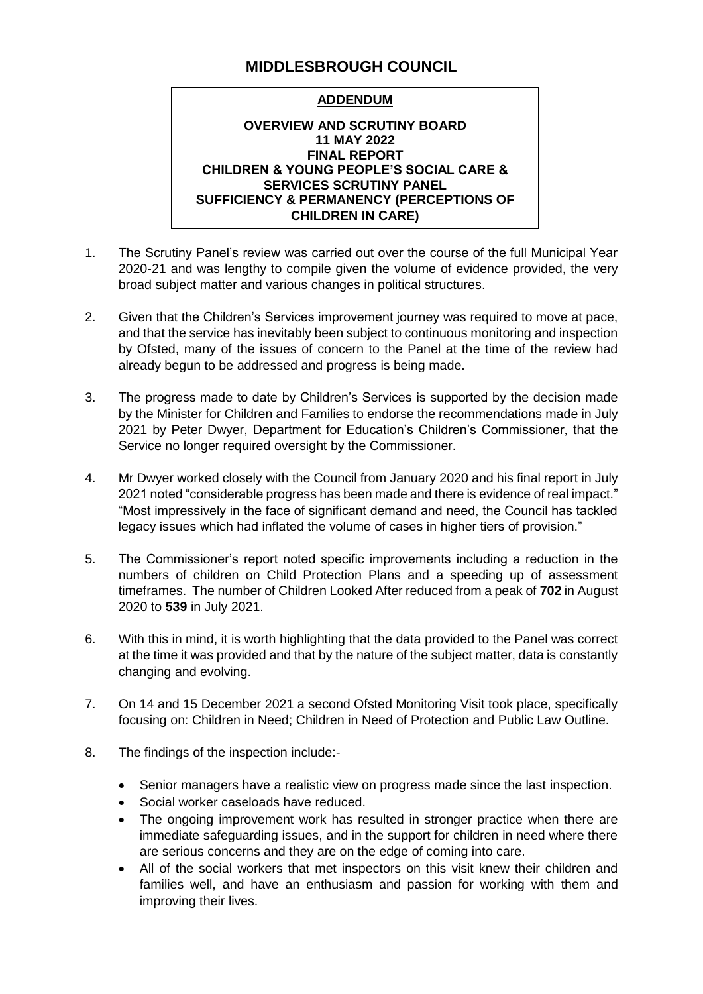# **MIDDLESBROUGH COUNCIL**

# **ADDENDUM**

#### **OVERVIEW AND SCRUTINY BOARD 11 MAY 2022 FINAL REPORT CHILDREN & YOUNG PEOPLE'S SOCIAL CARE & SERVICES SCRUTINY PANEL SUFFICIENCY & PERMANENCY (PERCEPTIONS OF CHILDREN IN CARE)**

- 1. The Scrutiny Panel's review was carried out over the course of the full Municipal Year 2020-21 and was lengthy to compile given the volume of evidence provided, the very broad subject matter and various changes in political structures.
- 2. Given that the Children's Services improvement journey was required to move at pace, and that the service has inevitably been subject to continuous monitoring and inspection by Ofsted, many of the issues of concern to the Panel at the time of the review had already begun to be addressed and progress is being made.
- 3. The progress made to date by Children's Services is supported by the decision made by the Minister for Children and Families to endorse the recommendations made in July 2021 by Peter Dwyer, Department for Education's Children's Commissioner, that the Service no longer required oversight by the Commissioner.
- 4. Mr Dwyer worked closely with the Council from January 2020 and his final report in July 2021 noted "considerable progress has been made and there is evidence of real impact." "Most impressively in the face of significant demand and need, the Council has tackled legacy issues which had inflated the volume of cases in higher tiers of provision."
- 5. The Commissioner's report noted specific improvements including a reduction in the numbers of children on Child Protection Plans and a speeding up of assessment timeframes. The number of Children Looked After reduced from a peak of **702** in August 2020 to **539** in July 2021.
- 6. With this in mind, it is worth highlighting that the data provided to the Panel was correct at the time it was provided and that by the nature of the subject matter, data is constantly changing and evolving.
- 7. On 14 and 15 December 2021 a second Ofsted Monitoring Visit took place, specifically focusing on: Children in Need; Children in Need of Protection and Public Law Outline.
- 8. The findings of the inspection include:-
	- Senior managers have a realistic view on progress made since the last inspection.
	- Social worker caseloads have reduced.
	- The ongoing improvement work has resulted in stronger practice when there are immediate safeguarding issues, and in the support for children in need where there are serious concerns and they are on the edge of coming into care.
	- All of the social workers that met inspectors on this visit knew their children and families well, and have an enthusiasm and passion for working with them and improving their lives.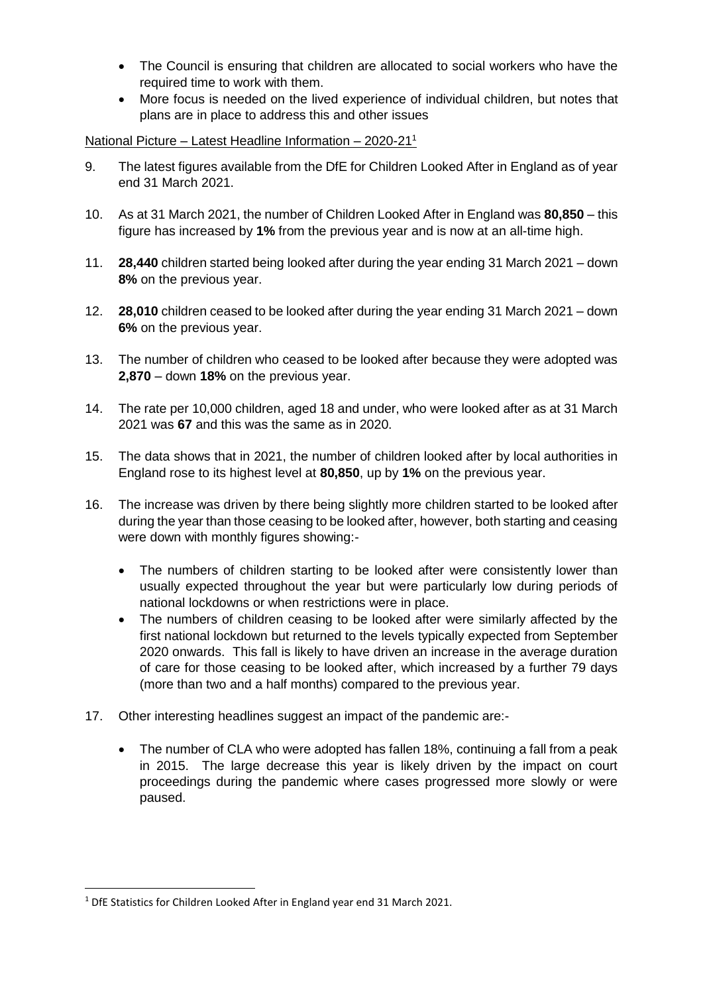- The Council is ensuring that children are allocated to social workers who have the required time to work with them.
- More focus is needed on the lived experience of individual children, but notes that plans are in place to address this and other issues

## National Picture – Latest Headline Information – 2020-21<sup>1</sup>

- 9. The latest figures available from the DfE for Children Looked After in England as of year end 31 March 2021.
- 10. As at 31 March 2021, the number of Children Looked After in England was **80,850** this figure has increased by **1%** from the previous year and is now at an all-time high.
- 11. **28,440** children started being looked after during the year ending 31 March 2021 down **8%** on the previous year.
- 12. **28,010** children ceased to be looked after during the year ending 31 March 2021 down **6%** on the previous year.
- 13. The number of children who ceased to be looked after because they were adopted was **2,870** – down **18%** on the previous year.
- 14. The rate per 10,000 children, aged 18 and under, who were looked after as at 31 March 2021 was **67** and this was the same as in 2020.
- 15. The data shows that in 2021, the number of children looked after by local authorities in England rose to its highest level at **80,850**, up by **1%** on the previous year.
- 16. The increase was driven by there being slightly more children started to be looked after during the year than those ceasing to be looked after, however, both starting and ceasing were down with monthly figures showing:-
	- The numbers of children starting to be looked after were consistently lower than usually expected throughout the year but were particularly low during periods of national lockdowns or when restrictions were in place.
	- The numbers of children ceasing to be looked after were similarly affected by the first national lockdown but returned to the levels typically expected from September 2020 onwards. This fall is likely to have driven an increase in the average duration of care for those ceasing to be looked after, which increased by a further 79 days (more than two and a half months) compared to the previous year.
- 17. Other interesting headlines suggest an impact of the pandemic are:-
	- The number of CLA who were adopted has fallen 18%, continuing a fall from a peak in 2015. The large decrease this year is likely driven by the impact on court proceedings during the pandemic where cases progressed more slowly or were paused.

**.** 

<sup>&</sup>lt;sup>1</sup> DfE Statistics for Children Looked After in England year end 31 March 2021.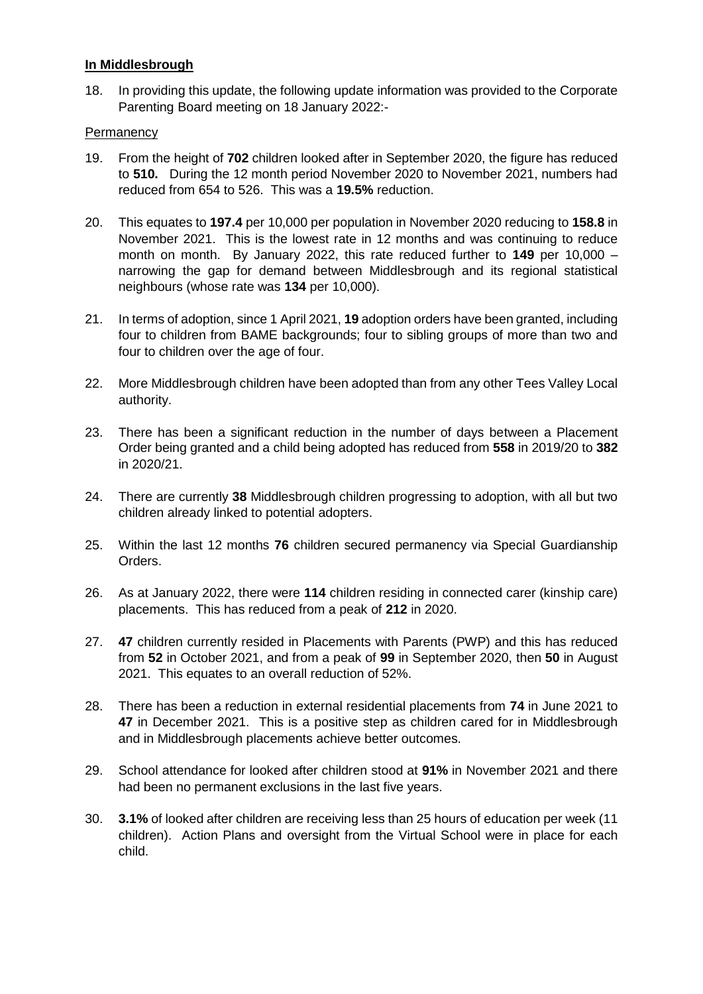# **In Middlesbrough**

18. In providing this update, the following update information was provided to the Corporate Parenting Board meeting on 18 January 2022:-

# **Permanency**

- 19. From the height of **702** children looked after in September 2020, the figure has reduced to **510.** During the 12 month period November 2020 to November 2021, numbers had reduced from 654 to 526. This was a **19.5%** reduction.
- 20. This equates to **197.4** per 10,000 per population in November 2020 reducing to **158.8** in November 2021. This is the lowest rate in 12 months and was continuing to reduce month on month. By January 2022, this rate reduced further to **149** per 10,000 – narrowing the gap for demand between Middlesbrough and its regional statistical neighbours (whose rate was **134** per 10,000).
- 21. In terms of adoption, since 1 April 2021, **19** adoption orders have been granted, including four to children from BAME backgrounds; four to sibling groups of more than two and four to children over the age of four.
- 22. More Middlesbrough children have been adopted than from any other Tees Valley Local authority.
- 23. There has been a significant reduction in the number of days between a Placement Order being granted and a child being adopted has reduced from **558** in 2019/20 to **382** in 2020/21.
- 24. There are currently **38** Middlesbrough children progressing to adoption, with all but two children already linked to potential adopters.
- 25. Within the last 12 months **76** children secured permanency via Special Guardianship Orders.
- 26. As at January 2022, there were **114** children residing in connected carer (kinship care) placements. This has reduced from a peak of **212** in 2020.
- 27. **47** children currently resided in Placements with Parents (PWP) and this has reduced from **52** in October 2021, and from a peak of **99** in September 2020, then **50** in August 2021. This equates to an overall reduction of 52%.
- 28. There has been a reduction in external residential placements from **74** in June 2021 to **47** in December 2021. This is a positive step as children cared for in Middlesbrough and in Middlesbrough placements achieve better outcomes.
- 29. School attendance for looked after children stood at **91%** in November 2021 and there had been no permanent exclusions in the last five years.
- 30. **3.1%** of looked after children are receiving less than 25 hours of education per week (11 children). Action Plans and oversight from the Virtual School were in place for each child.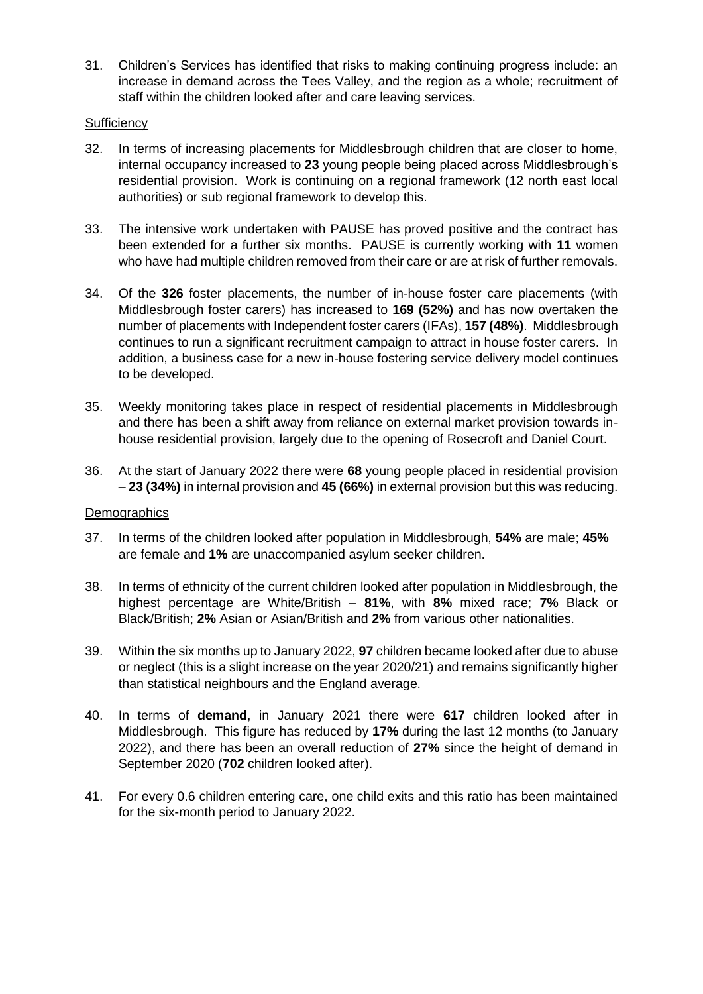31. Children's Services has identified that risks to making continuing progress include: an increase in demand across the Tees Valley, and the region as a whole; recruitment of staff within the children looked after and care leaving services.

## **Sufficiency**

- 32. In terms of increasing placements for Middlesbrough children that are closer to home, internal occupancy increased to **23** young people being placed across Middlesbrough's residential provision. Work is continuing on a regional framework (12 north east local authorities) or sub regional framework to develop this.
- 33. The intensive work undertaken with PAUSE has proved positive and the contract has been extended for a further six months. PAUSE is currently working with **11** women who have had multiple children removed from their care or are at risk of further removals.
- 34. Of the **326** foster placements, the number of in-house foster care placements (with Middlesbrough foster carers) has increased to **169 (52%)** and has now overtaken the number of placements with Independent foster carers (IFAs), **157 (48%)**. Middlesbrough continues to run a significant recruitment campaign to attract in house foster carers. In addition, a business case for a new in-house fostering service delivery model continues to be developed.
- 35. Weekly monitoring takes place in respect of residential placements in Middlesbrough and there has been a shift away from reliance on external market provision towards inhouse residential provision, largely due to the opening of Rosecroft and Daniel Court.
- 36. At the start of January 2022 there were **68** young people placed in residential provision – **23 (34%)** in internal provision and **45 (66%)** in external provision but this was reducing.

#### **Demographics**

- 37. In terms of the children looked after population in Middlesbrough, **54%** are male; **45%** are female and **1%** are unaccompanied asylum seeker children.
- 38. In terms of ethnicity of the current children looked after population in Middlesbrough, the highest percentage are White/British – **81%**, with **8%** mixed race; **7%** Black or Black/British; **2%** Asian or Asian/British and **2%** from various other nationalities.
- 39. Within the six months up to January 2022, **97** children became looked after due to abuse or neglect (this is a slight increase on the year 2020/21) and remains significantly higher than statistical neighbours and the England average.
- 40. In terms of **demand**, in January 2021 there were **617** children looked after in Middlesbrough. This figure has reduced by **17%** during the last 12 months (to January 2022), and there has been an overall reduction of **27%** since the height of demand in September 2020 (**702** children looked after).
- 41. For every 0.6 children entering care, one child exits and this ratio has been maintained for the six-month period to January 2022.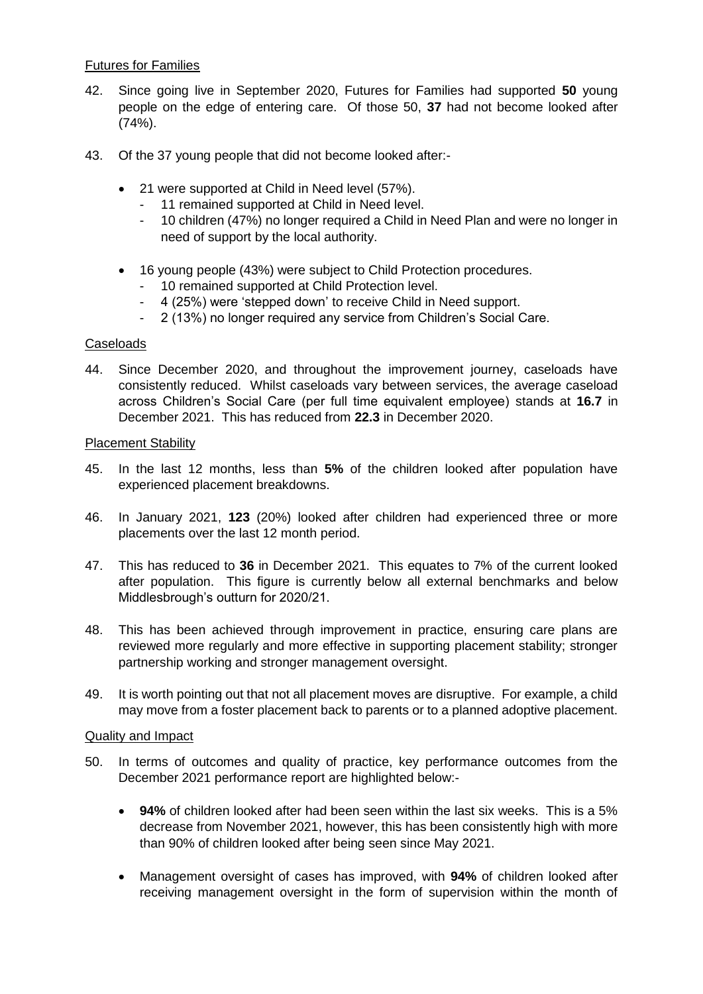## Futures for Families

- 42. Since going live in September 2020, Futures for Families had supported **50** young people on the edge of entering care. Of those 50, **37** had not become looked after (74%).
- 43. Of the 37 young people that did not become looked after:-
	- 21 were supported at Child in Need level (57%).
		- 11 remained supported at Child in Need level.
		- 10 children (47%) no longer required a Child in Need Plan and were no longer in need of support by the local authority.
	- 16 young people (43%) were subject to Child Protection procedures.
		- 10 remained supported at Child Protection level.
		- 4 (25%) were 'stepped down' to receive Child in Need support.
		- 2 (13%) no longer required any service from Children's Social Care.

# Caseloads

44. Since December 2020, and throughout the improvement journey, caseloads have consistently reduced. Whilst caseloads vary between services, the average caseload across Children's Social Care (per full time equivalent employee) stands at **16.7** in December 2021. This has reduced from **22.3** in December 2020.

## Placement Stability

- 45. In the last 12 months, less than **5%** of the children looked after population have experienced placement breakdowns.
- 46. In January 2021, **123** (20%) looked after children had experienced three or more placements over the last 12 month period.
- 47. This has reduced to **36** in December 2021. This equates to 7% of the current looked after population. This figure is currently below all external benchmarks and below Middlesbrough's outturn for 2020/21.
- 48. This has been achieved through improvement in practice, ensuring care plans are reviewed more regularly and more effective in supporting placement stability; stronger partnership working and stronger management oversight.
- 49. It is worth pointing out that not all placement moves are disruptive. For example, a child may move from a foster placement back to parents or to a planned adoptive placement.

## Quality and Impact

- 50. In terms of outcomes and quality of practice, key performance outcomes from the December 2021 performance report are highlighted below:-
	- **94%** of children looked after had been seen within the last six weeks. This is a 5% decrease from November 2021, however, this has been consistently high with more than 90% of children looked after being seen since May 2021.
	- Management oversight of cases has improved, with **94%** of children looked after receiving management oversight in the form of supervision within the month of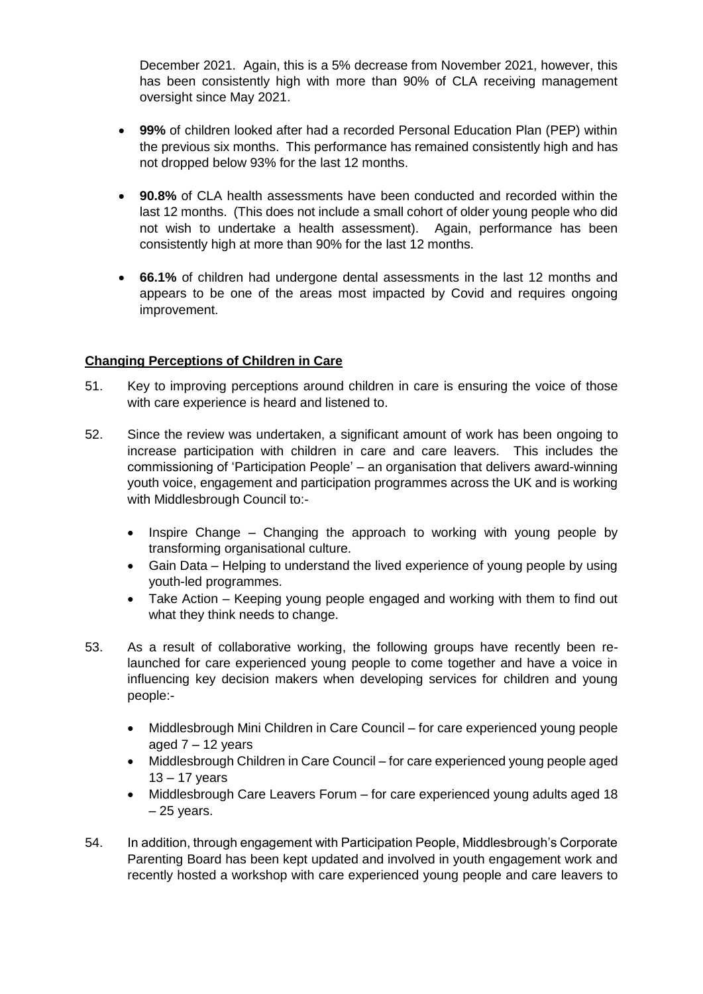December 2021. Again, this is a 5% decrease from November 2021, however, this has been consistently high with more than 90% of CLA receiving management oversight since May 2021.

- **99%** of children looked after had a recorded Personal Education Plan (PEP) within the previous six months. This performance has remained consistently high and has not dropped below 93% for the last 12 months.
- **90.8%** of CLA health assessments have been conducted and recorded within the last 12 months. (This does not include a small cohort of older young people who did not wish to undertake a health assessment). Again, performance has been consistently high at more than 90% for the last 12 months.
- **66.1%** of children had undergone dental assessments in the last 12 months and appears to be one of the areas most impacted by Covid and requires ongoing improvement.

# **Changing Perceptions of Children in Care**

- 51. Key to improving perceptions around children in care is ensuring the voice of those with care experience is heard and listened to.
- 52. Since the review was undertaken, a significant amount of work has been ongoing to increase participation with children in care and care leavers. This includes the commissioning of 'Participation People' – an organisation that delivers award-winning youth voice, engagement and participation programmes across the UK and is working with Middlesbrough Council to:-
	- Inspire Change Changing the approach to working with young people by transforming organisational culture.
	- Gain Data Helping to understand the lived experience of young people by using youth-led programmes.
	- Take Action Keeping young people engaged and working with them to find out what they think needs to change.
- 53. As a result of collaborative working, the following groups have recently been relaunched for care experienced young people to come together and have a voice in influencing key decision makers when developing services for children and young people:-
	- Middlesbrough Mini Children in Care Council for care experienced young people aged  $7 - 12$  years
	- Middlesbrough Children in Care Council for care experienced young people aged 13 – 17 years
	- Middlesbrough Care Leavers Forum for care experienced young adults aged 18  $-25$  years.
- 54. In addition, through engagement with Participation People, Middlesbrough's Corporate Parenting Board has been kept updated and involved in youth engagement work and recently hosted a workshop with care experienced young people and care leavers to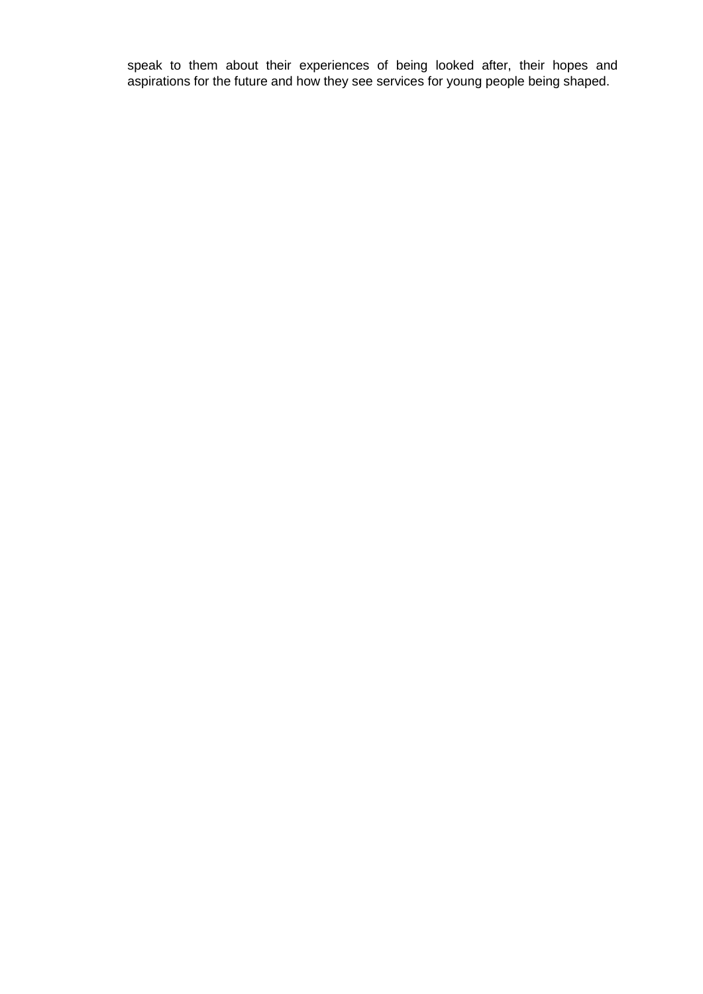speak to them about their experiences of being looked after, their hopes and aspirations for the future and how they see services for young people being shaped.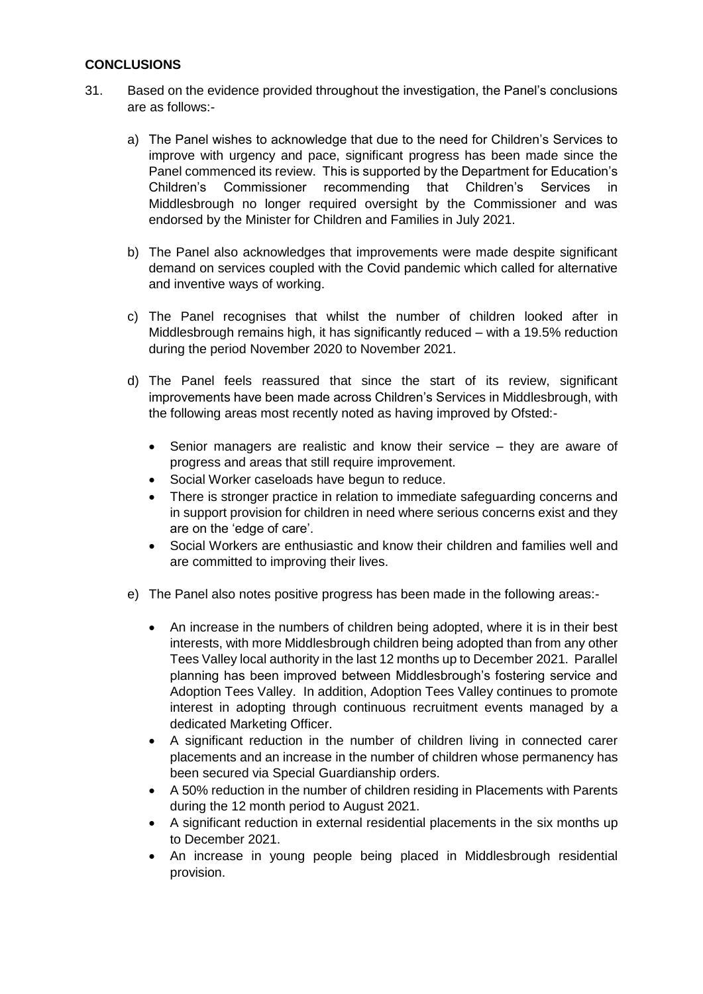# **CONCLUSIONS**

- 31. Based on the evidence provided throughout the investigation, the Panel's conclusions are as follows:
	- a) The Panel wishes to acknowledge that due to the need for Children's Services to improve with urgency and pace, significant progress has been made since the Panel commenced its review. This is supported by the Department for Education's Children's Commissioner recommending that Children's Services in Middlesbrough no longer required oversight by the Commissioner and was endorsed by the Minister for Children and Families in July 2021.
	- b) The Panel also acknowledges that improvements were made despite significant demand on services coupled with the Covid pandemic which called for alternative and inventive ways of working.
	- c) The Panel recognises that whilst the number of children looked after in Middlesbrough remains high, it has significantly reduced – with a 19.5% reduction during the period November 2020 to November 2021.
	- d) The Panel feels reassured that since the start of its review, significant improvements have been made across Children's Services in Middlesbrough, with the following areas most recently noted as having improved by Ofsted:-
		- Senior managers are realistic and know their service they are aware of progress and areas that still require improvement.
		- Social Worker caseloads have begun to reduce.
		- There is stronger practice in relation to immediate safeguarding concerns and in support provision for children in need where serious concerns exist and they are on the 'edge of care'.
		- Social Workers are enthusiastic and know their children and families well and are committed to improving their lives.
	- e) The Panel also notes positive progress has been made in the following areas:-
		- An increase in the numbers of children being adopted, where it is in their best interests, with more Middlesbrough children being adopted than from any other Tees Valley local authority in the last 12 months up to December 2021. Parallel planning has been improved between Middlesbrough's fostering service and Adoption Tees Valley. In addition, Adoption Tees Valley continues to promote interest in adopting through continuous recruitment events managed by a dedicated Marketing Officer.
		- A significant reduction in the number of children living in connected carer placements and an increase in the number of children whose permanency has been secured via Special Guardianship orders.
		- A 50% reduction in the number of children residing in Placements with Parents during the 12 month period to August 2021.
		- A significant reduction in external residential placements in the six months up to December 2021.
		- An increase in young people being placed in Middlesbrough residential provision.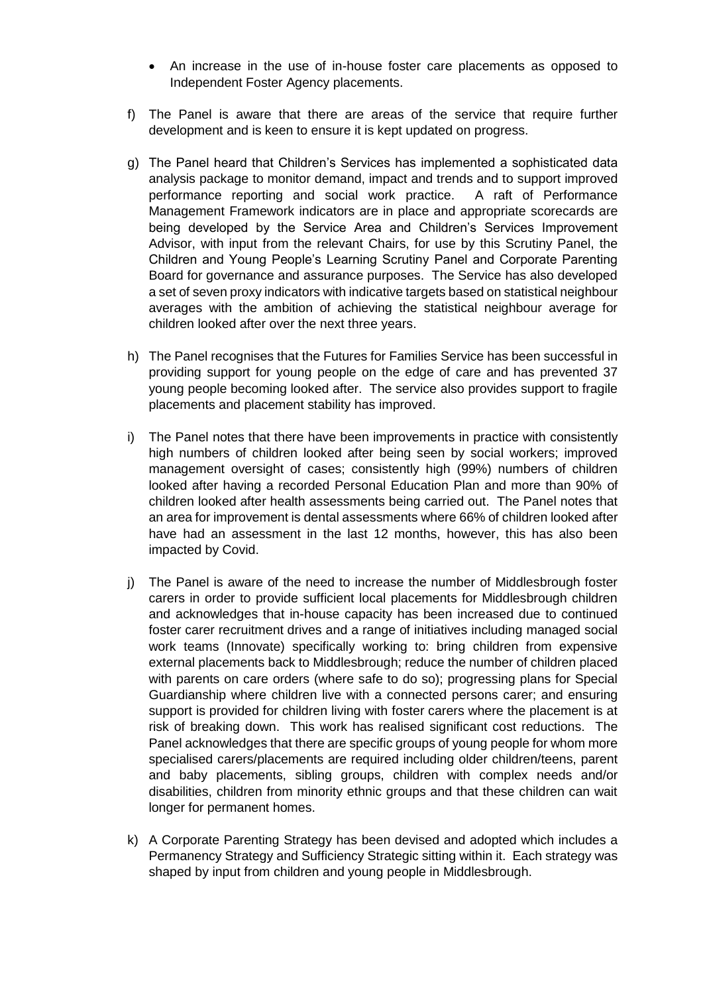- An increase in the use of in-house foster care placements as opposed to Independent Foster Agency placements.
- f) The Panel is aware that there are areas of the service that require further development and is keen to ensure it is kept updated on progress.
- g) The Panel heard that Children's Services has implemented a sophisticated data analysis package to monitor demand, impact and trends and to support improved performance reporting and social work practice. A raft of Performance Management Framework indicators are in place and appropriate scorecards are being developed by the Service Area and Children's Services Improvement Advisor, with input from the relevant Chairs, for use by this Scrutiny Panel, the Children and Young People's Learning Scrutiny Panel and Corporate Parenting Board for governance and assurance purposes. The Service has also developed a set of seven proxy indicators with indicative targets based on statistical neighbour averages with the ambition of achieving the statistical neighbour average for children looked after over the next three years.
- h) The Panel recognises that the Futures for Families Service has been successful in providing support for young people on the edge of care and has prevented 37 young people becoming looked after. The service also provides support to fragile placements and placement stability has improved.
- i) The Panel notes that there have been improvements in practice with consistently high numbers of children looked after being seen by social workers; improved management oversight of cases; consistently high (99%) numbers of children looked after having a recorded Personal Education Plan and more than 90% of children looked after health assessments being carried out. The Panel notes that an area for improvement is dental assessments where 66% of children looked after have had an assessment in the last 12 months, however, this has also been impacted by Covid.
- j) The Panel is aware of the need to increase the number of Middlesbrough foster carers in order to provide sufficient local placements for Middlesbrough children and acknowledges that in-house capacity has been increased due to continued foster carer recruitment drives and a range of initiatives including managed social work teams (Innovate) specifically working to: bring children from expensive external placements back to Middlesbrough; reduce the number of children placed with parents on care orders (where safe to do so); progressing plans for Special Guardianship where children live with a connected persons carer; and ensuring support is provided for children living with foster carers where the placement is at risk of breaking down. This work has realised significant cost reductions. The Panel acknowledges that there are specific groups of young people for whom more specialised carers/placements are required including older children/teens, parent and baby placements, sibling groups, children with complex needs and/or disabilities, children from minority ethnic groups and that these children can wait longer for permanent homes.
- k) A Corporate Parenting Strategy has been devised and adopted which includes a Permanency Strategy and Sufficiency Strategic sitting within it. Each strategy was shaped by input from children and young people in Middlesbrough.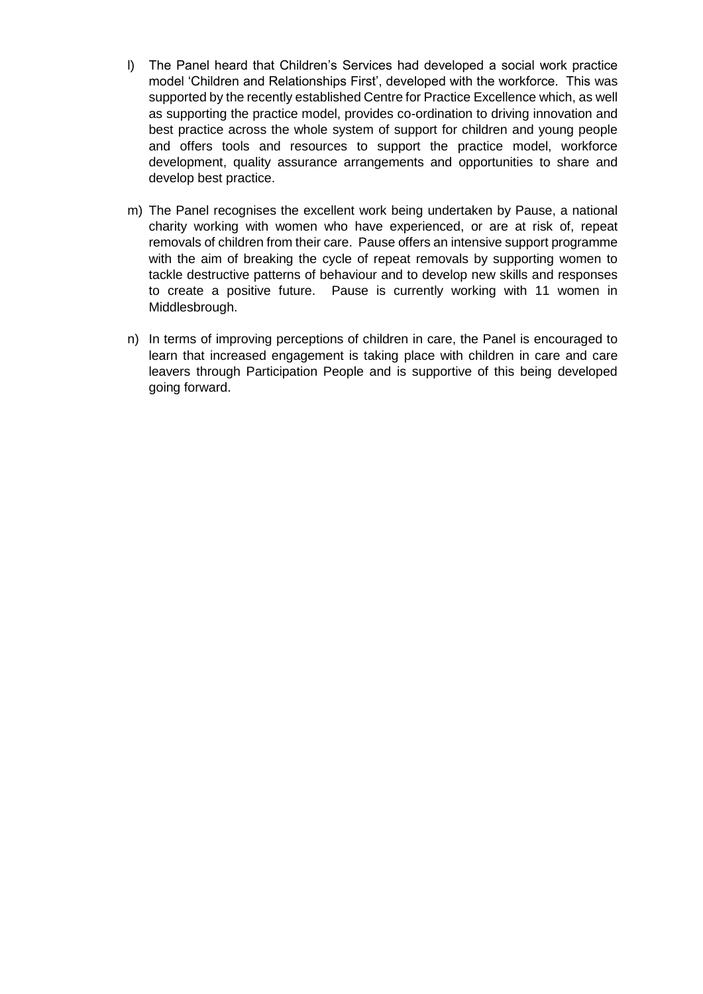- l) The Panel heard that Children's Services had developed a social work practice model 'Children and Relationships First', developed with the workforce. This was supported by the recently established Centre for Practice Excellence which, as well as supporting the practice model, provides co-ordination to driving innovation and best practice across the whole system of support for children and young people and offers tools and resources to support the practice model, workforce development, quality assurance arrangements and opportunities to share and develop best practice.
- m) The Panel recognises the excellent work being undertaken by Pause, a national charity working with women who have experienced, or are at risk of, repeat removals of children from their care. Pause offers an intensive support programme with the aim of breaking the cycle of repeat removals by supporting women to tackle destructive patterns of behaviour and to develop new skills and responses to create a positive future. Pause is currently working with 11 women in Middlesbrough.
- n) In terms of improving perceptions of children in care, the Panel is encouraged to learn that increased engagement is taking place with children in care and care leavers through Participation People and is supportive of this being developed going forward.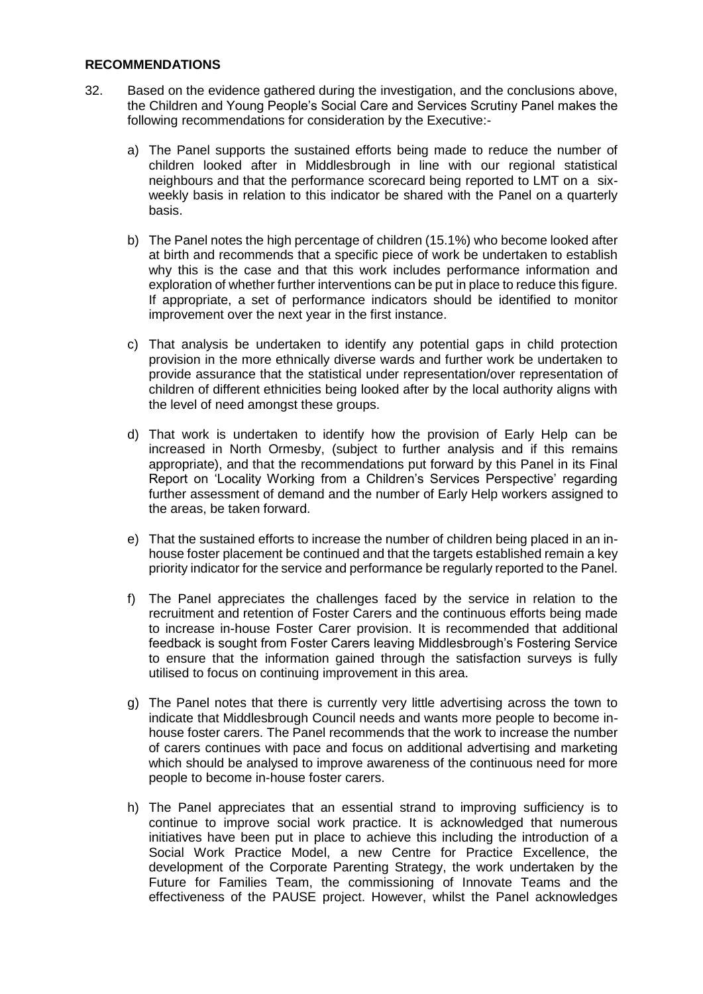#### **RECOMMENDATIONS**

- 32. Based on the evidence gathered during the investigation, and the conclusions above, the Children and Young People's Social Care and Services Scrutiny Panel makes the following recommendations for consideration by the Executive:
	- a) The Panel supports the sustained efforts being made to reduce the number of children looked after in Middlesbrough in line with our regional statistical neighbours and that the performance scorecard being reported to LMT on a sixweekly basis in relation to this indicator be shared with the Panel on a quarterly basis.
	- b) The Panel notes the high percentage of children (15.1%) who become looked after at birth and recommends that a specific piece of work be undertaken to establish why this is the case and that this work includes performance information and exploration of whether further interventions can be put in place to reduce this figure. If appropriate, a set of performance indicators should be identified to monitor improvement over the next year in the first instance.
	- c) That analysis be undertaken to identify any potential gaps in child protection provision in the more ethnically diverse wards and further work be undertaken to provide assurance that the statistical under representation/over representation of children of different ethnicities being looked after by the local authority aligns with the level of need amongst these groups.
	- d) That work is undertaken to identify how the provision of Early Help can be increased in North Ormesby, (subject to further analysis and if this remains appropriate), and that the recommendations put forward by this Panel in its Final Report on 'Locality Working from a Children's Services Perspective' regarding further assessment of demand and the number of Early Help workers assigned to the areas, be taken forward.
	- e) That the sustained efforts to increase the number of children being placed in an inhouse foster placement be continued and that the targets established remain a key priority indicator for the service and performance be regularly reported to the Panel.
	- f) The Panel appreciates the challenges faced by the service in relation to the recruitment and retention of Foster Carers and the continuous efforts being made to increase in-house Foster Carer provision. It is recommended that additional feedback is sought from Foster Carers leaving Middlesbrough's Fostering Service to ensure that the information gained through the satisfaction surveys is fully utilised to focus on continuing improvement in this area.
	- g) The Panel notes that there is currently very little advertising across the town to indicate that Middlesbrough Council needs and wants more people to become inhouse foster carers. The Panel recommends that the work to increase the number of carers continues with pace and focus on additional advertising and marketing which should be analysed to improve awareness of the continuous need for more people to become in-house foster carers.
	- h) The Panel appreciates that an essential strand to improving sufficiency is to continue to improve social work practice. It is acknowledged that numerous initiatives have been put in place to achieve this including the introduction of a Social Work Practice Model, a new Centre for Practice Excellence, the development of the Corporate Parenting Strategy, the work undertaken by the Future for Families Team, the commissioning of Innovate Teams and the effectiveness of the PAUSE project. However, whilst the Panel acknowledges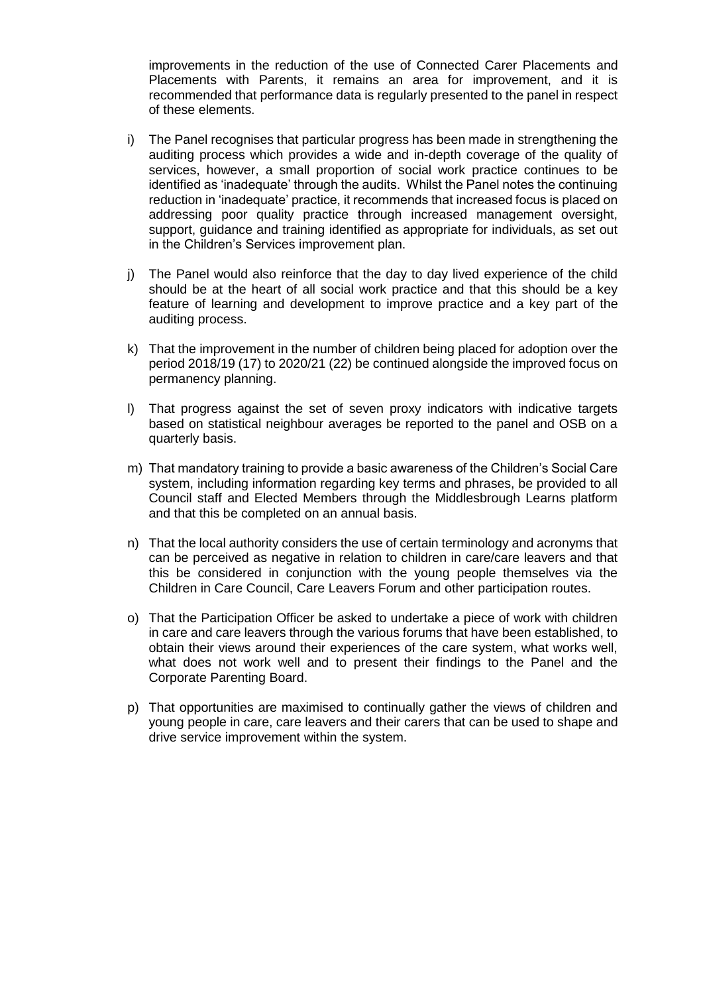improvements in the reduction of the use of Connected Carer Placements and Placements with Parents, it remains an area for improvement, and it is recommended that performance data is regularly presented to the panel in respect of these elements.

- i) The Panel recognises that particular progress has been made in strengthening the auditing process which provides a wide and in-depth coverage of the quality of services, however, a small proportion of social work practice continues to be identified as 'inadequate' through the audits. Whilst the Panel notes the continuing reduction in 'inadequate' practice, it recommends that increased focus is placed on addressing poor quality practice through increased management oversight, support, guidance and training identified as appropriate for individuals, as set out in the Children's Services improvement plan.
- j) The Panel would also reinforce that the day to day lived experience of the child should be at the heart of all social work practice and that this should be a key feature of learning and development to improve practice and a key part of the auditing process.
- k) That the improvement in the number of children being placed for adoption over the period 2018/19 (17) to 2020/21 (22) be continued alongside the improved focus on permanency planning.
- l) That progress against the set of seven proxy indicators with indicative targets based on statistical neighbour averages be reported to the panel and OSB on a quarterly basis.
- m) That mandatory training to provide a basic awareness of the Children's Social Care system, including information regarding key terms and phrases, be provided to all Council staff and Elected Members through the Middlesbrough Learns platform and that this be completed on an annual basis.
- n) That the local authority considers the use of certain terminology and acronyms that can be perceived as negative in relation to children in care/care leavers and that this be considered in conjunction with the young people themselves via the Children in Care Council, Care Leavers Forum and other participation routes.
- o) That the Participation Officer be asked to undertake a piece of work with children in care and care leavers through the various forums that have been established, to obtain their views around their experiences of the care system, what works well, what does not work well and to present their findings to the Panel and the Corporate Parenting Board.
- p) That opportunities are maximised to continually gather the views of children and young people in care, care leavers and their carers that can be used to shape and drive service improvement within the system.